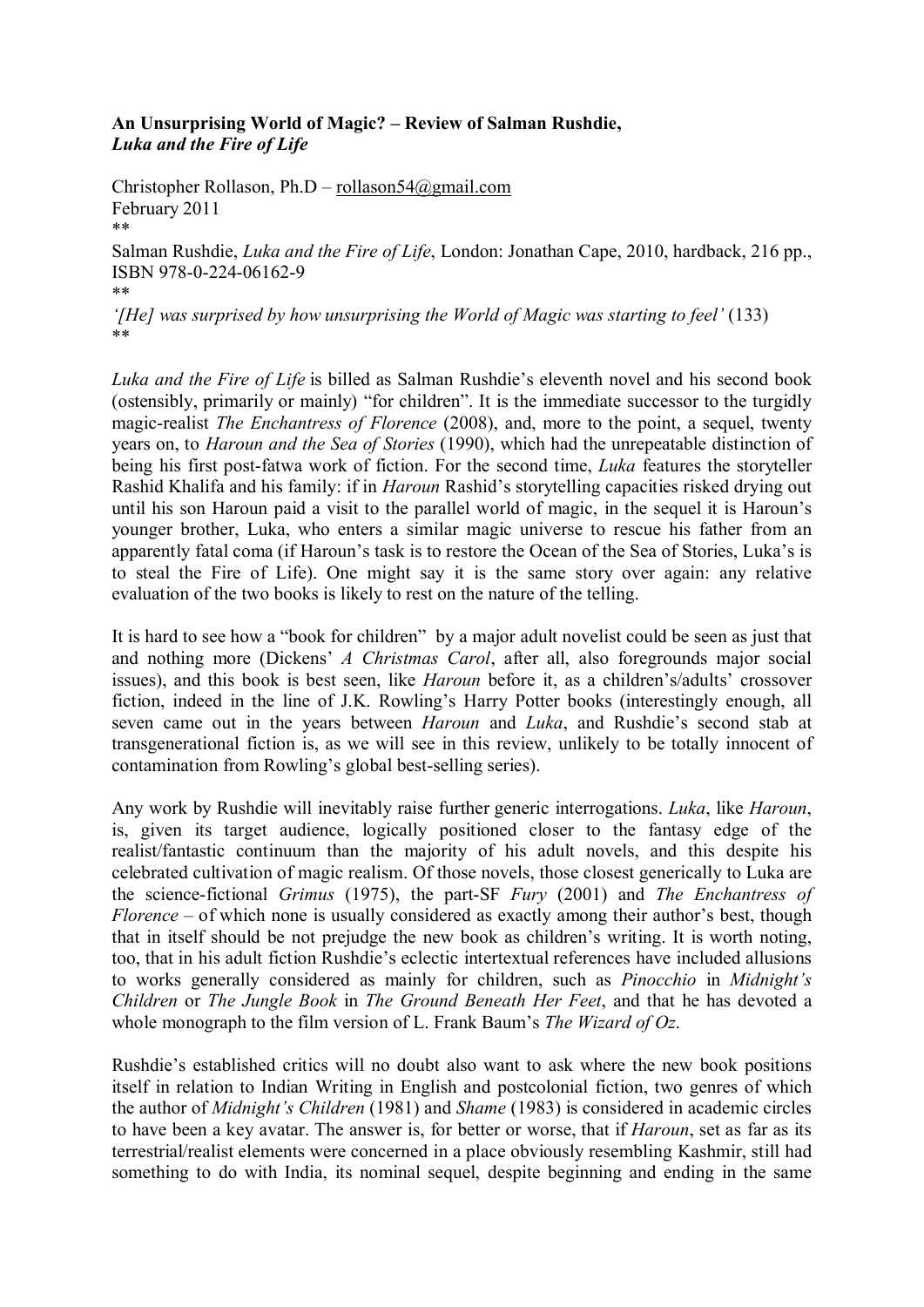## **An Unsurprising World of Magic? – Review of Salman Rushdie,**  *Luka and the Fire of Life*

Christopher Rollason, Ph.D – [rollason54@gmail.com](mailto:rollason54@gmail.com) February 2011 \*\* Salman Rushdie, *Luka and the Fire of Life*, London: Jonathan Cape, 2010, hardback, 216 pp., ISBN 978-0-224-06162-9 \*\* *'[He] was surprised by how unsurprising the World of Magic was starting to feel'* (133)

\*\*

*Luka and the Fire of Life* is billed as Salman Rushdie's eleventh novel and his second book (ostensibly, primarily or mainly) "for children". It is the immediate successor to the turgidly magic-realist *The Enchantress of Florence* (2008), and, more to the point, a sequel, twenty years on, to *Haroun and the Sea of Stories* (1990), which had the unrepeatable distinction of being his first post-fatwa work of fiction. For the second time, *Luka* features the storyteller Rashid Khalifa and his family: if in *Haroun* Rashid's storytelling capacities risked drying out until his son Haroun paid a visit to the parallel world of magic, in the sequel it is Haroun's younger brother, Luka, who enters a similar magic universe to rescue his father from an apparently fatal coma (if Haroun's task is to restore the Ocean of the Sea of Stories, Luka's is to steal the Fire of Life). One might say it is the same story over again: any relative evaluation of the two books is likely to rest on the nature of the telling.

It is hard to see how a "book for children" by a major adult novelist could be seen as just that and nothing more (Dickens' *A Christmas Carol*, after all, also foregrounds major social issues), and this book is best seen, like *Haroun* before it, as a children's/adults' crossover fiction, indeed in the line of J.K. Rowling's Harry Potter books (interestingly enough, all seven came out in the years between *Haroun* and *Luka*, and Rushdie's second stab at transgenerational fiction is, as we will see in this review, unlikely to be totally innocent of contamination from Rowling's global best-selling series).

Any work by Rushdie will inevitably raise further generic interrogations. *Luka*, like *Haroun*, is, given its target audience, logically positioned closer to the fantasy edge of the realist/fantastic continuum than the majority of his adult novels, and this despite his celebrated cultivation of magic realism. Of those novels, those closest generically to Luka are the science-fictional *Grimus* (1975), the part-SF *Fury* (2001) and *The Enchantress of Florence* – of which none is usually considered as exactly among their author's best, though that in itself should be not prejudge the new book as children's writing. It is worth noting, too, that in his adult fiction Rushdie's eclectic intertextual references have included allusions to works generally considered as mainly for children, such as *Pinocchio* in *Midnight's Children* or *The Jungle Book* in *The Ground Beneath Her Feet*, and that he has devoted a whole monograph to the film version of L. Frank Baum's *The Wizard of Oz*.

Rushdie's established critics will no doubt also want to ask where the new book positions itself in relation to Indian Writing in English and postcolonial fiction, two genres of which the author of *Midnight's Children* (1981) and *Shame* (1983) is considered in academic circles to have been a key avatar. The answer is, for better or worse, that if *Haroun*, set as far as its terrestrial/realist elements were concerned in a place obviously resembling Kashmir, still had something to do with India, its nominal sequel, despite beginning and ending in the same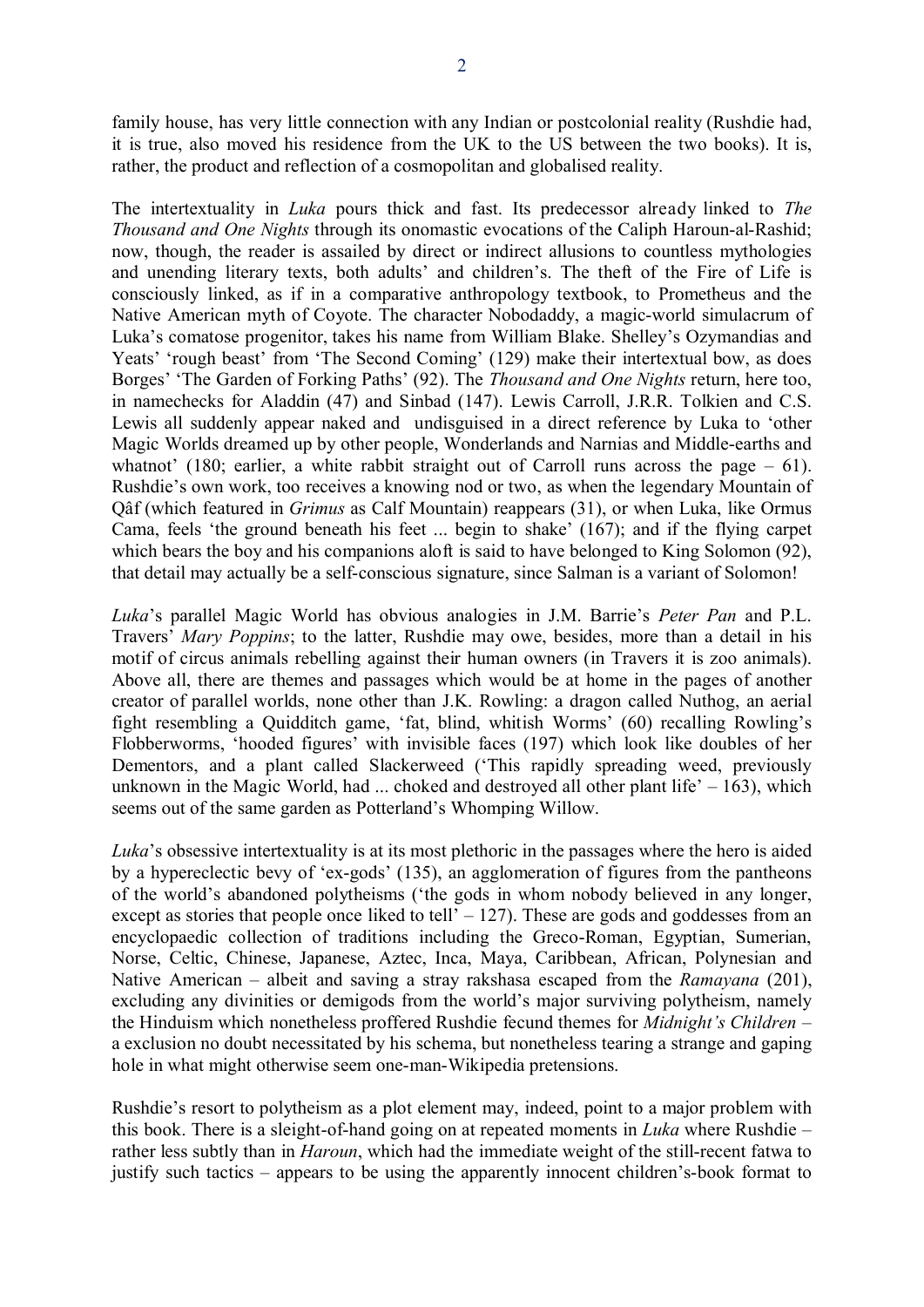family house, has very little connection with any Indian or postcolonial reality (Rushdie had, it is true, also moved his residence from the UK to the US between the two books). It is, rather, the product and reflection of a cosmopolitan and globalised reality.

The intertextuality in *Luka* pours thick and fast. Its predecessor already linked to *The Thousand and One Nights* through its onomastic evocations of the Caliph Haroun-al-Rashid; now, though, the reader is assailed by direct or indirect allusions to countless mythologies and unending literary texts, both adults' and children's. The theft of the Fire of Life is consciously linked, as if in a comparative anthropology textbook, to Prometheus and the Native American myth of Coyote. The character Nobodaddy, a magic-world simulacrum of Luka's comatose progenitor, takes his name from William Blake. Shelley's Ozymandias and Yeats' 'rough beast' from 'The Second Coming' (129) make their intertextual bow, as does Borges' 'The Garden of Forking Paths' (92). The *Thousand and One Nights* return, here too, in namechecks for Aladdin (47) and Sinbad (147). Lewis Carroll, J.R.R. Tolkien and C.S. Lewis all suddenly appear naked and undisguised in a direct reference by Luka to 'other Magic Worlds dreamed up by other people, Wonderlands and Narnias and Middle-earths and whatnot' (180; earlier, a white rabbit straight out of Carroll runs across the page  $-61$ ). Rushdie's own work, too receives a knowing nod or two, as when the legendary Mountain of Qâf (which featured in *Grimus* as Calf Mountain) reappears (31), or when Luka, like Ormus Cama, feels 'the ground beneath his feet ... begin to shake' (167); and if the flying carpet which bears the boy and his companions aloft is said to have belonged to King Solomon (92), that detail may actually be a self-conscious signature, since Salman is a variant of Solomon!

*Luka*'s parallel Magic World has obvious analogies in J.M. Barrie's *Peter Pan* and P.L. Travers' *Mary Poppins*; to the latter, Rushdie may owe, besides, more than a detail in his motif of circus animals rebelling against their human owners (in Travers it is zoo animals). Above all, there are themes and passages which would be at home in the pages of another creator of parallel worlds, none other than J.K. Rowling: a dragon called Nuthog, an aerial fight resembling a Quidditch game, 'fat, blind, whitish Worms' (60) recalling Rowling's Flobberworms, 'hooded figures' with invisible faces (197) which look like doubles of her Dementors, and a plant called Slackerweed ('This rapidly spreading weed, previously unknown in the Magic World, had  $\ldots$  choked and destroyed all other plant life'  $-163$ ), which seems out of the same garden as Potterland's Whomping Willow.

*Luka*'s obsessive intertextuality is at its most plethoric in the passages where the hero is aided by a hypereclectic bevy of 'ex-gods' (135), an agglomeration of figures from the pantheons of the world's abandoned polytheisms ('the gods in whom nobody believed in any longer, except as stories that people once liked to tell' $-127$ ). These are gods and goddesses from an encyclopaedic collection of traditions including the Greco-Roman, Egyptian, Sumerian, Norse, Celtic, Chinese, Japanese, Aztec, Inca, Maya, Caribbean, African, Polynesian and Native American – albeit and saving a stray rakshasa escaped from the *Ramayana* (201), excluding any divinities or demigods from the world's major surviving polytheism, namely the Hinduism which nonetheless proffered Rushdie fecund themes for *Midnight's Children* – a exclusion no doubt necessitated by his schema, but nonetheless tearing a strange and gaping hole in what might otherwise seem one-man-Wikipedia pretensions.

Rushdie's resort to polytheism as a plot element may, indeed, point to a major problem with this book. There is a sleight-of-hand going on at repeated moments in *Luka* where Rushdie – rather less subtly than in *Haroun*, which had the immediate weight of the still-recent fatwa to justify such tactics – appears to be using the apparently innocent children's-book format to